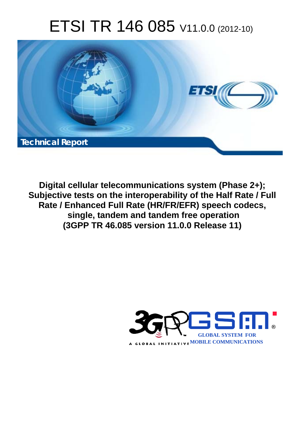# ETSI TR 146 085 V11.0.0 (2012-10)



**Digital cellular telecommunications system (Phase 2+); Subjective tests on the interoperability of the Half Rate / Full Rate / Enhanced Full Rate (HR/FR/EFR) speech codecs, single, tandem and tandem free operation (3GPP TR 46.085 version 11.0.0 Release 11)** 

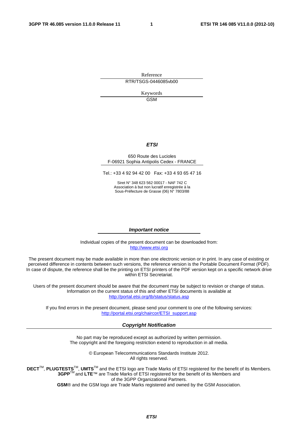Reference RTR/TSGS-0446085vb00

> Keywords GSM

#### *ETSI*

#### 650 Route des Lucioles F-06921 Sophia Antipolis Cedex - FRANCE

Tel.: +33 4 92 94 42 00 Fax: +33 4 93 65 47 16

Siret N° 348 623 562 00017 - NAF 742 C Association à but non lucratif enregistrée à la Sous-Préfecture de Grasse (06) N° 7803/88

#### *Important notice*

Individual copies of the present document can be downloaded from: [http://www.etsi.org](http://www.etsi.org/)

The present document may be made available in more than one electronic version or in print. In any case of existing or perceived difference in contents between such versions, the reference version is the Portable Document Format (PDF). In case of dispute, the reference shall be the printing on ETSI printers of the PDF version kept on a specific network drive within ETSI Secretariat.

Users of the present document should be aware that the document may be subject to revision or change of status. Information on the current status of this and other ETSI documents is available at <http://portal.etsi.org/tb/status/status.asp>

If you find errors in the present document, please send your comment to one of the following services: [http://portal.etsi.org/chaircor/ETSI\\_support.asp](http://portal.etsi.org/chaircor/ETSI_support.asp)

#### *Copyright Notification*

No part may be reproduced except as authorized by written permission. The copyright and the foregoing restriction extend to reproduction in all media.

> © European Telecommunications Standards Institute 2012. All rights reserved.

**DECT**TM, **PLUGTESTS**TM, **UMTS**TM and the ETSI logo are Trade Marks of ETSI registered for the benefit of its Members. **3GPP**TM and **LTE**™ are Trade Marks of ETSI registered for the benefit of its Members and of the 3GPP Organizational Partners.

**GSM**® and the GSM logo are Trade Marks registered and owned by the GSM Association.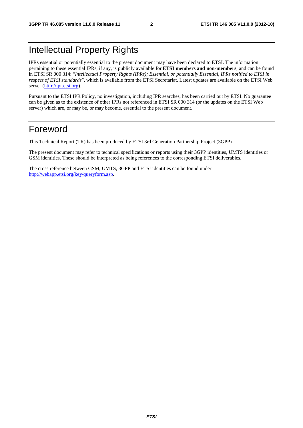### Intellectual Property Rights

IPRs essential or potentially essential to the present document may have been declared to ETSI. The information pertaining to these essential IPRs, if any, is publicly available for **ETSI members and non-members**, and can be found in ETSI SR 000 314: *"Intellectual Property Rights (IPRs); Essential, or potentially Essential, IPRs notified to ETSI in respect of ETSI standards"*, which is available from the ETSI Secretariat. Latest updates are available on the ETSI Web server [\(http://ipr.etsi.org](http://webapp.etsi.org/IPR/home.asp)).

Pursuant to the ETSI IPR Policy, no investigation, including IPR searches, has been carried out by ETSI. No guarantee can be given as to the existence of other IPRs not referenced in ETSI SR 000 314 (or the updates on the ETSI Web server) which are, or may be, or may become, essential to the present document.

### Foreword

This Technical Report (TR) has been produced by ETSI 3rd Generation Partnership Project (3GPP).

The present document may refer to technical specifications or reports using their 3GPP identities, UMTS identities or GSM identities. These should be interpreted as being references to the corresponding ETSI deliverables.

The cross reference between GSM, UMTS, 3GPP and ETSI identities can be found under [http://webapp.etsi.org/key/queryform.asp.](http://webapp.etsi.org/key/queryform.asp)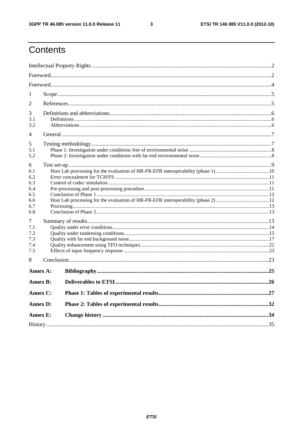$\mathbf{3}$ 

### Contents

| 1<br>2<br>3<br>3.1<br>3.2<br>4<br>5<br>5.1<br>5.2<br>6<br>6.1<br>6.2<br>6.3<br>6.4<br>6.5<br>6.6<br>6.7<br>6.8<br>7<br>7.1<br>7.2<br>7.3<br>7.4<br>7.5<br>8<br>Annex A:<br><b>Annex B:</b><br>Annex C:<br><b>Annex D:</b><br><b>Annex E:</b> |  |  |  |  |  |  |
|----------------------------------------------------------------------------------------------------------------------------------------------------------------------------------------------------------------------------------------------|--|--|--|--|--|--|
|                                                                                                                                                                                                                                              |  |  |  |  |  |  |
|                                                                                                                                                                                                                                              |  |  |  |  |  |  |
|                                                                                                                                                                                                                                              |  |  |  |  |  |  |
|                                                                                                                                                                                                                                              |  |  |  |  |  |  |
|                                                                                                                                                                                                                                              |  |  |  |  |  |  |
|                                                                                                                                                                                                                                              |  |  |  |  |  |  |
|                                                                                                                                                                                                                                              |  |  |  |  |  |  |
|                                                                                                                                                                                                                                              |  |  |  |  |  |  |
|                                                                                                                                                                                                                                              |  |  |  |  |  |  |
|                                                                                                                                                                                                                                              |  |  |  |  |  |  |
|                                                                                                                                                                                                                                              |  |  |  |  |  |  |
|                                                                                                                                                                                                                                              |  |  |  |  |  |  |
|                                                                                                                                                                                                                                              |  |  |  |  |  |  |
|                                                                                                                                                                                                                                              |  |  |  |  |  |  |
|                                                                                                                                                                                                                                              |  |  |  |  |  |  |
|                                                                                                                                                                                                                                              |  |  |  |  |  |  |
|                                                                                                                                                                                                                                              |  |  |  |  |  |  |
|                                                                                                                                                                                                                                              |  |  |  |  |  |  |
|                                                                                                                                                                                                                                              |  |  |  |  |  |  |
|                                                                                                                                                                                                                                              |  |  |  |  |  |  |
|                                                                                                                                                                                                                                              |  |  |  |  |  |  |
|                                                                                                                                                                                                                                              |  |  |  |  |  |  |
|                                                                                                                                                                                                                                              |  |  |  |  |  |  |
|                                                                                                                                                                                                                                              |  |  |  |  |  |  |
|                                                                                                                                                                                                                                              |  |  |  |  |  |  |
|                                                                                                                                                                                                                                              |  |  |  |  |  |  |
|                                                                                                                                                                                                                                              |  |  |  |  |  |  |
|                                                                                                                                                                                                                                              |  |  |  |  |  |  |
|                                                                                                                                                                                                                                              |  |  |  |  |  |  |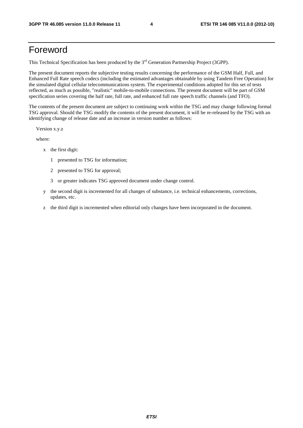### Foreword

This Technical Specification has been produced by the 3<sup>rd</sup> Generation Partnership Project (3GPP).

The present document reports the subjective testing results concerning the performance of the GSM Half, Full, and Enhanced Full Rate speech codecs (including the estimated advantages obtainable by using Tandem Free Operation) for the simulated digital cellular telecommunications system. The experimental conditions adopted for this set of tests reflected, as much as possible, "realistic" mobile-to-mobile connections. The present document will be part of GSM specification series covering the half rate, full rate, and enhanced full rate speech traffic channels (and TFO).

The contents of the present document are subject to continuing work within the TSG and may change following formal TSG approval. Should the TSG modify the contents of the present document, it will be re-released by the TSG with an identifying change of release date and an increase in version number as follows:

Version x.y.z

where:

- x the first digit:
	- 1 presented to TSG for information;
	- 2 presented to TSG for approval;
	- 3 or greater indicates TSG approved document under change control.
- y the second digit is incremented for all changes of substance, i.e. technical enhancements, corrections, updates, etc.
- z the third digit is incremented when editorial only changes have been incorporated in the document.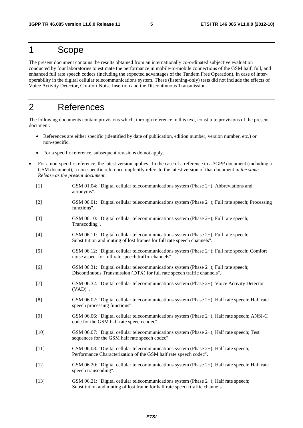### 1 Scope

The present document contains the results obtained from an internationally co-ordinated subjective evaluation conducted by four laboratories to estimate the performance in mobile-to-mobile connections of the GSM half, full, and enhanced full rate speech codecs (including the expected advantages of the Tandem Free Operation), in case of interoperability in the digital cellular telecommunications system. These (listening-only) tests did not include the effects of Voice Activity Detector, Comfort Noise Insertion and the Discontinuous Transmission.

### 2 References

The following documents contain provisions which, through reference in this text, constitute provisions of the present document.

- References are either specific (identified by date of publication, edition number, version number, etc.) or non-specific.
- For a specific reference, subsequent revisions do not apply.
- For a non-specific reference, the latest version applies. In the case of a reference to a 3GPP document (including a GSM document), a non-specific reference implicitly refers to the latest version of that document *in the same Release as the present document*.
	- [1] GSM 01.04: "Digital cellular telecommunications system (Phase 2+); Abbreviations and acronyms".
	- [2] GSM 06.01: "Digital cellular telecommunications system (Phase 2+); Full rate speech; Processing functions".
	- [3] GSM 06.10: "Digital cellular telecommunications system (Phase 2+); Full rate speech; Transcoding".
	- [4] GSM 06.11: "Digital cellular telecommunications system (Phase 2+); Full rate speech; Substitution and muting of lost frames for full rate speech channels".
	- [5] GSM 06.12: "Digital cellular telecommunications system (Phase 2+); Full rate speech; Comfort noise aspect for full rate speech traffic channels".
	- [6] GSM 06.31: "Digital cellular telecommunications system (Phase 2+); Full rate speech; Discontinuous Transmission (DTX) for full rate speech traffic channels".
	- [7] GSM 06.32: "Digital cellular telecommunications system (Phase 2+); Voice Activity Detector (VAD)".
	- [8] GSM 06.02: "Digital cellular telecommunications system (Phase 2+); Half rate speech; Half rate speech processing functions".
	- [9] GSM 06.06: "Digital cellular telecommunications system (Phase 2+); Half rate speech; ANSI-C code for the GSM half rate speech codec".
	- [10] GSM 06.07: "Digital cellular telecommunications system (Phase 2+); Half rate speech; Test sequences for the GSM half rate speech codec".
	- [11] GSM 06.08: "Digital cellular telecommunications system (Phase 2+); Half rate speech; Performance Characterization of the GSM half rate speech codec".
	- [12] GSM 06.20: "Digital cellular telecommunications system (Phase 2+); Half rate speech; Half rate speech transcoding".
	- [13] GSM 06.21: "Digital cellular telecommunications system (Phase 2+); Half rate speech; Substitution and muting of lost frame for half rate speech traffic channels".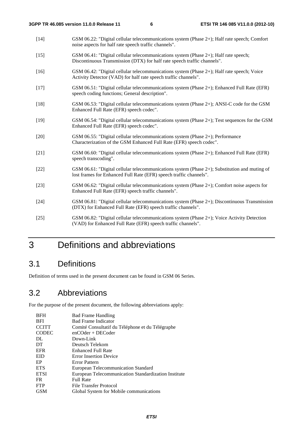- [14] GSM 06.22: "Digital cellular telecommunications system (Phase 2+); Half rate speech; Comfort noise aspects for half rate speech traffic channels".
- [15] GSM 06.41: "Digital cellular telecommunications system (Phase 2+); Half rate speech; Discontinuous Transmission (DTX) for half rate speech traffic channels".
- [16] GSM 06.42: "Digital cellular telecommunications system (Phase 2+); Half rate speech; Voice Activity Detector (VAD) for half rate speech traffic channels".
- [17] GSM 06.51: "Digital cellular telecommunications system (Phase 2+); Enhanced Full Rate (EFR) speech coding functions; General description".
- [18] GSM 06.53: "Digital cellular telecommunications system (Phase 2+); ANSI-C code for the GSM Enhanced Full Rate (EFR) speech codec".
- [19] GSM 06.54: "Digital cellular telecommunications system (Phase 2+); Test sequences for the GSM Enhanced Full Rate (EFR) speech codec".
- [20] GSM 06.55: "Digital cellular telecommunications system (Phase 2+); Performance Characterization of the GSM Enhanced Full Rate (EFR) speech codec".
- [21] GSM 06.60: "Digital cellular telecommunications system (Phase 2+); Enhanced Full Rate (EFR) speech transcoding".
- [22] GSM 06.61: "Digital cellular telecommunications system (Phase 2+); Substitution and muting of lost frames for Enhanced Full Rate (EFR) speech traffic channels".
- [23] GSM 06.62: "Digital cellular telecommunications system (Phase 2+); Comfort noise aspects for Enhanced Full Rate (EFR) speech traffic channels".
- [24] GSM 06.81: "Digital cellular telecommunications system (Phase 2+); Discontinuous Transmission (DTX) for Enhanced Full Rate (EFR) speech traffic channels".
- [25] GSM 06.82: "Digital cellular telecommunications system (Phase 2+); Voice Activity Detection (VAD) for Enhanced Full Rate (EFR) speech traffic channels".

### 3 Definitions and abbreviations

#### 3.1 Definitions

Definition of terms used in the present document can be found in GSM 06 Series.

### 3.2 Abbreviations

For the purpose of the present document, the following abbreviations apply:

| <b>BFH</b>   | <b>Bad Frame Handling</b>                            |
|--------------|------------------------------------------------------|
| <b>BFI</b>   | <b>Bad Frame Indicator</b>                           |
| <b>CCITT</b> | Comité Consultatif du Téléphone et du Télégraphe     |
| <b>CODEC</b> | $enCOder + DECoder$                                  |
| DL           | Down-Link                                            |
| DT           | Deutsch Telekom                                      |
| <b>EFR</b>   | Enhanced Full Rate                                   |
| <b>EID</b>   | <b>Error Insertion Device</b>                        |
| EP           | Error Pattern                                        |
| <b>ETS</b>   | European Telecommunication Standard                  |
| <b>ETSI</b>  | European Telecommunication Standardization Institute |
| FR.          | <b>Full Rate</b>                                     |
| <b>FTP</b>   | File Transfer Protocol                               |
| GSM          | Global System for Mobile communications              |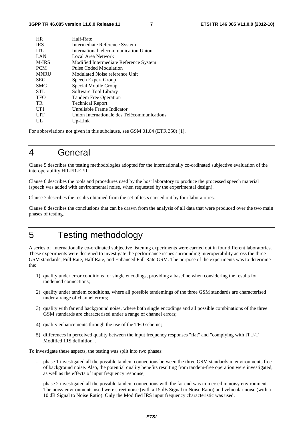| <b>HR</b>    | Half-Rate                                   |
|--------------|---------------------------------------------|
| <b>IRS</b>   | Intermediate Reference System               |
| <b>ITU</b>   | International telecommunication Union       |
| LAN          | Local Area Network                          |
| <b>M-IRS</b> | Modified Intermediate Reference System      |
| <b>PCM</b>   | Pulse Coded Modulation                      |
| <b>MNRU</b>  | Modulated Noise reference Unit              |
| <b>SEG</b>   | Speech Expert Group                         |
| <b>SMG</b>   | Special Mobile Group                        |
| <b>STL</b>   | Software Tool Library                       |
| <b>TFO</b>   | Tandem Free Operation                       |
| TR           | <b>Technical Report</b>                     |
| UFI          | Unreliable Frame Indicator                  |
| <b>UIT</b>   | Union Internationale des Télécommunications |
| UL           | Up-Link                                     |
|              |                                             |

For abbreviations not given in this subclause, see GSM 01.04 (ETR 350) [1].

### 4 General

Clause 5 describes the testing methodologies adopted for the internationally co-ordinated subjective evaluation of the interoperability HR-FR-EFR.

Clause 6 describes the tools and procedures used by the host laboratory to produce the processed speech material (speech was added with environmental noise, when requested by the experimental design).

Clause 7 describes the results obtained from the set of tests carried out by four laboratories.

Clause 8 describes the conclusions that can be drawn from the analysis of all data that were produced over the two main phases of testing.

### 5 Testing methodology

A series of internationally co-ordinated subjective listening experiments were carried out in four different laboratories. These experiments were designed to investigate the performance issues surrounding interoperability across the three GSM standards; Full Rate, Half Rate, and Enhanced Full Rate GSM. The purpose of the experiments was to determine the:

- 1) quality under error conditions for single encodings, providing a baseline when considering the results for tandemed connections;
- 2) quality under tandem conditions, where all possible tandemings of the three GSM standards are characterised under a range of channel errors;
- 3) quality with far end background noise, where both single encodings and all possible combinations of the three GSM standards are characterised under a range of channel errors;
- 4) quality enhancements through the use of the TFO scheme;
- 5) differences in perceived quality between the input frequency responses "flat" and "complying with ITU-T Modified IRS definition".

To investigate these aspects, the testing was split into two phases:

- phase 1 investigated all the possible tandem connections between the three GSM standards in environments free of background noise. Also, the potential quality benefits resulting from tandem-free operation were investigated, as well as the effects of input frequency response;
- phase 2 investigated all the possible tandem connections with the far end was immersed in noisy environment. The noisy environments used were street noise (with a 15 dB Signal to Noise Ratio) and vehicular noise (with a 10 dB Signal to Noise Ratio). Only the Modified IRS input frequency characteristic was used.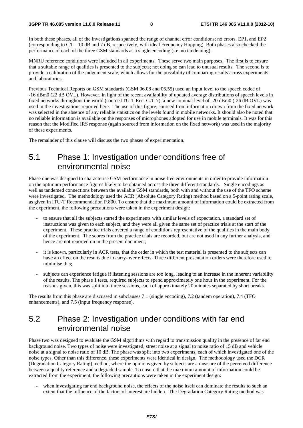In both these phases, all of the investigations spanned the range of channel error conditions; no errors, EP1, and EP2 (corresponding to  $C/I = 10$  dB and 7 dB, respectively, with ideal Frequency Hopping). Both phases also checked the performance of each of the three GSM standards as a single encoding (i.e. no tandeming).

MNRU reference conditions were included in all experiments. These serve two main purposes. The first is to ensure that a suitable range of qualities is presented to the subjects; not doing so can lead to unusual results. The second is to provide a calibration of the judgement scale, which allows for the possibility of comparing results across experiments and laboratories.

Previous Technical Reports on GSM standards (GSM 06.08 and 06.55) used an input level to the speech codec of -16 dBm0 (22 dB OVL). However, in light of the recent availability of updated average distributions of speech levels in fixed networks throughout the world (source ITU-T Rec. G.117), a new nominal level of -20 dBm0 (-26 dB OVL) was used in the investigations reported here. The use of this figure, sourced from information drawn from the fixed network was selected in the absence of any reliable statistics on the levels found in mobile networks. It should also be noted that no reliable information is available on the responses of microphones adopted for use in mobile terminals. It was for this reason that the Modified IRS response (again sourced from information on the fixed network) was used in the majority of these experiments.

The remainder of this clause will discuss the two phases of experimentation.

### 5.1 Phase 1: Investigation under conditions free of environmental noise

Phase one was designed to characterise GSM performance in noise free environments in order to provide information on the optimum performance figures likely to be obtained across the three different standards. Single encodings as well as tandemed connections between the available GSM standards, both with and without the use of the TFO scheme were investigated. The methodology used the ACR (Absolute Category Rating) method based on a 5-point rating scale, as given in ITU-T Recommendation P.800. To ensure that the maximum amount of information could be extracted from the experiment, the following precautions were taken in the experiment design:

- to ensure that all the subjects started the experiments with similar levels of expectation, a standard set of instructions was given to each subject, and they were all given the same set of practice trials at the start of the experiment. These practice trials covered a range of conditions representative of the qualities in the main body of the experiment. The scores from the practice trials are recorded, but are not used in any further analysis, and hence are not reported on in the present document;
- it is known, particularly in ACR tests, that the order in which the test material is presented to the subjects can have an effect on the results due to carry-over effects. Three different presentation orders were therefore used to minimise this;
- subjects can experience fatigue if listening sessions are too long, leading to an increase in the inherent variability of the results. The phase 1 tests, required subjects to spend approximately one hour in the experiment. For the reasons given, this was split into three sessions, each of approximately 20 minutes separated by short breaks.

The results from this phase are discussed in subclauses 7.1 (single encoding), 7.2 (tandem operation), 7.4 (TFO enhancements), and 7.5 (input frequency response).

### 5.2 Phase 2: Investigation under conditions with far end environmental noise

Phase two was designed to evaluate the GSM algorithms with regard to transmission quality in the presence of far end background noise. Two types of noise were investigated, street noise at a signal to noise ratio of 15 dB and vehicle noise at a signal to noise ratio of 10 dB. The phase was split into two experiments, each of which investigated one of the noise types. Other than this difference, these experiments were identical in design. The methodology used the DCR (Degradation Category Rating) method, where the opinions given by subjects are a measure of the perceived difference between a quality reference and a degraded sample. To ensure that the maximum amount of information could be extracted from the experiment, the following precautions were taken in the experiment design:

when investigating far end background noise, the effects of the noise itself can dominate the results to such an extent that the influence of the factors of interest are hidden. The Degradation Category Rating method was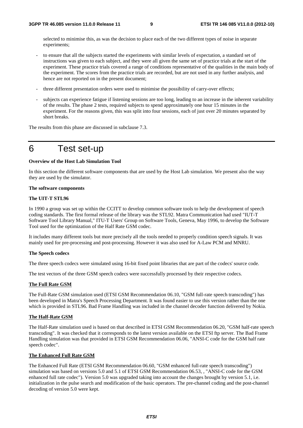selected to minimise this, as was the decision to place each of the two different types of noise in separate experiments;

- to ensure that all the subjects started the experiments with similar levels of expectation, a standard set of instructions was given to each subject, and they were all given the same set of practice trials at the start of the experiment. These practice trials covered a range of conditions representative of the qualities in the main body of the experiment. The scores from the practice trials are recorded, but are not used in any further analysis, and hence are not reported on in the present document;
- three different presentation orders were used to minimise the possibility of carry-over effects;
- subjects can experience fatigue if listening sessions are too long, leading to an increase in the inherent variability of the results. The phase 2 tests, required subjects to spend approximately one hour 15 minutes in the experiment. For the reasons given, this was split into four sessions, each of just over 20 minutes separated by short breaks.

The results from this phase are discussed in subclause 7.3.

### 6 Test set-up

#### **Overview of the Host Lab Simulation Tool**

In this section the different software components that are used by the Host Lab simulation. We present also the way they are used by the simulator.

#### **The software components**

#### **The UIT-T STL96**

In 1990 a group was set up within the CCITT to develop common software tools to help the development of speech coding standards. The first formal release of the library was the STL92. Matra Communication had used "IUT-T Software Tool Library Manual," ITU-T Users' Group on Software Tools, Geneva, May 1996, to develop the Software Tool used for the optimization of the Half Rate GSM codec.

It includes many different tools but more precisely all the tools needed to properly condition speech signals. It was mainly used for pre-processing and post-processing. However it was also used for A-Law PCM and MNRU.

#### **The Speech codecs**

The three speech codecs were simulated using 16-bit fixed point libraries that are part of the codecs' source code.

The test vectors of the three GSM speech codecs were successfully processed by their respective codecs.

#### **The Full Rate GSM**

The Full-Rate GSM simulation used (ETSI GSM Recommendation 06.10, "GSM full-rate speech transcoding") has been developed in Matra's Speech Processing Department. It was found easier to use this version rather than the one which is provided in STL96. Bad Frame Handling was included in the channel decoder function delivered by Nokia.

#### **The Half-Rate GSM**

The Half-Rate simulation used is based on that described in ETSI GSM Recommendation 06.20, "GSM half-rate speech transcoding". It was checked that it corresponds to the latest version available on the ETSI ftp server. The Bad Frame Handling simulation was that provided in ETSI GSM Recommendation 06.06, "ANSI-C code for the GSM half rate speech codec".

#### **The Enhanced Full Rate GSM**

The Enhanced Full Rate (ETSI GSM Recommendation 06.60, "GSM enhanced full-rate speech transcoding") simulation was based on versions 5.0 and 5.1 of ETSI GSM Recommendation 06.53, , "ANSI-C code for the GSM enhanced full rate codec"). Version 5.0 was upgraded taking into account the changes brought by version 5.1, i.e. initialization in the pulse search and modification of the basic operators. The pre-channel coding and the post-channel decoding of version 5.0 were kept.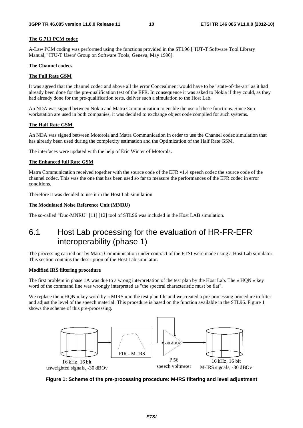#### **The G.711 PCM codec**

A-Law PCM coding was performed using the functions provided in the STL96 ["IUT-T Software Tool Library Manual," ITU-T Users' Group on Software Tools, Geneva, May 1996].

#### **The Channel codecs**

#### **The Full Rate GSM**

It was agreed that the channel codec and above all the error Concealment would have to be "state-of-the-art" as it had already been done for the pre-qualification test of the EFR. In consequence it was asked to Nokia if they could, as they had already done for the pre-qualification tests, deliver such a simulation to the Host Lab.

An NDA was signed between Nokia and Matra Communication to enable the use of these functions. Since Sun workstation are used in both companies, it was decided to exchange object code compiled for such systems.

#### **The Half Rate GSM**

An NDA was signed between Motorola and Matra Communication in order to use the Channel codec simulation that has already been used during the complexity estimation and the Optimization of the Half Rate GSM.

The interfaces were updated with the help of Eric Winter of Motorola.

#### **The Enhanced full Rate GSM**

Matra Communication received together with the source code of the EFR v1.4 speech codec the source code of the channel codec. This was the one that has been used so far to measure the performances of the EFR codec in error conditions.

Therefore it was decided to use it in the Host Lab simulation.

#### **The Modulated Noise Reference Unit (MNRU)**

The so-called "Duo-MNRU" [11] [12] tool of STL96 was included in the Host LAB simulation.

### 6.1 Host Lab processing for the evaluation of HR-FR-EFR interoperability (phase 1)

The processing carried out by Matra Communication under contract of the ETSI were made using a Host Lab simulator. This section contains the description of the Host Lab simulator.

#### **Modified IRS filtering procedure**

The first problem in phase 1A was due to a wrong interpretation of the test plan by the Host Lab. The « HQN » key word of the command line was wrongly interpreted as "the spectral characteristic must be flat".

We replace the « HQN » key word by « MIRS » in the test plan file and we created a pre-processing procedure to filter and adjust the level of the speech material. This procedure is based on the function available in the STL96. Figure 1 shows the scheme of this pre-processing.



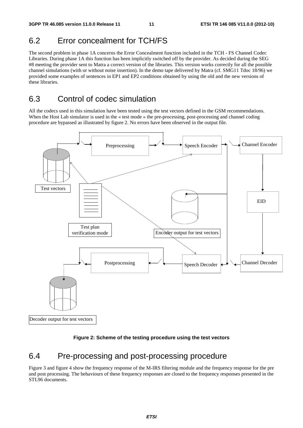### 6.2 Error concealment for TCH/FS

The second problem in phase 1A concerns the Error Concealment function included in the TCH - FS Channel Codec Libraries. During phase 1A this function has been implicitly switched off by the provider. As decided during the SEG #8 meeting the provider sent to Matra a correct version of the libraries. This version works correctly for all the possible channel simulations (with or without noise insertion). In the demo tape delivered by Matra (cf. SMG11 Tdoc 18/96) we provided some examples of sentences in EP1 and EP2 conditions obtained by using the old and the new versions of these libraries.

### 6.3 Control of codec simulation

All the codecs used in this simulation have been tested using the test vectors defined in the GSM recommendations. When the Host Lab simulator is used in the « test mode » the pre-processing, post-processing and channel coding procedure are bypassed as illustrated by figure 2. No errors have been observed in the output file.





### 6.4 Pre-processing and post-processing procedure

Figure 3 and figure 4 show the frequency response of the M-IRS filtering module and the frequency response for the pre and post processing. The behaviours of these frequency responses are closed to the frequency responses presented in the STL96 documents.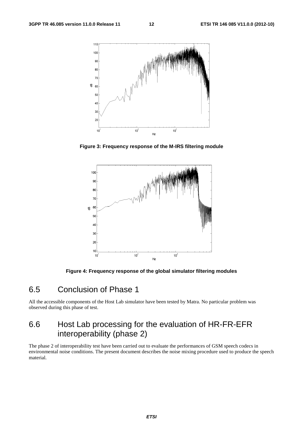

**Figure 3: Frequency response of the M-IRS filtering module** 



**Figure 4: Frequency response of the global simulator filtering modules** 

### 6.5 Conclusion of Phase 1

All the accessible components of the Host Lab simulator have been tested by Matra. No particular problem was observed during this phase of test.

### 6.6 Host Lab processing for the evaluation of HR-FR-EFR interoperability (phase 2)

The phase 2 of interoperability test have been carried out to evaluate the performances of GSM speech codecs in environmental noise conditions. The present document describes the noise mixing procedure used to produce the speech material.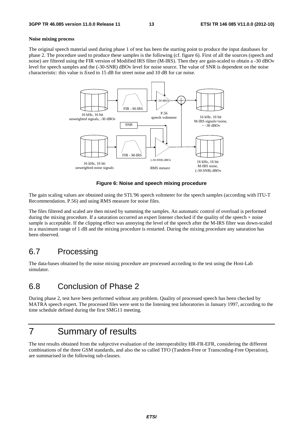#### **Noise mixing process**

The original speech material used during phase 1 of test has been the starting point to produce the input databases for phase 2. The procedure used to produce these samples is the following (cf. figure 6). First of all the sources (speech and noise) are filtered using the FIR version of Modified IRS filter (M-IRS). Then they are gain-scaled to obtain a -30 dBOv level for speech samples and the (-30-SNR) dBOv level for noise source. The value of SNR is dependent on the noise characteristic: this value is fixed to 15 dB for street noise and 10 dB for car noise.



#### **Figure 6: Noise and speech mixing procedure**

The gain scaling values are obtained using the STL'96 speech voltmeter for the speech samples (according with ITU-T Recommendation. P.56) and using RMS measure for noise files.

The files filtered and scaled are then mixed by summing the samples. An automatic control of overload is performed during the mixing procedure. If a saturation occurred an expert listener checked if the quality of the speech + noise sample is acceptable. If the clipping effect was annoying the level of the speech after the M-IRS filter was down-scaled in a maximum range of 1 dB and the mixing procedure is restarted. During the mixing procedure any saturation has been observed.

#### 6.7 Processing

The data-bases obtained by the noise mixing procedure are processed according to the test using the Host-Lab simulator.

#### 6.8 Conclusion of Phase 2

During phase 2, test have been performed without any problem. Quality of processed speech has been checked by MATRA speech expert. The processed files were sent to the listening test laboratories in January 1997, according to the time schedule defined during the first SMG11 meeting.

### 7 Summary of results

The test results obtained from the subjective evaluation of the interoperability HR-FR-EFR, considering the different combinations of the three GSM standards, and also the so called TFO (Tandem-Free or Transcoding-Free Operation), are summarised in the following sub-clauses.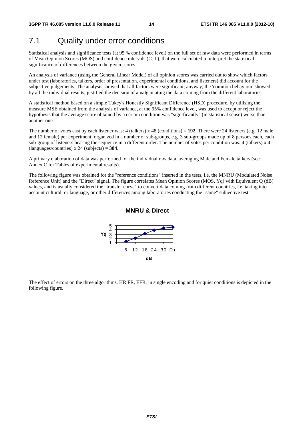### 7.1 Quality under error conditions

Statistical analysis and significance tests (at 95 % confidence level) on the full set of raw data were performed in terms of Mean Opinion Scores (MOS) and confidence intervals (C. I.), that were calculated to interpret the statistical significance of differences between the given scores.

An analysis of variance (using the General Linear Model) of all opinion scores was carried out to show which factors under test (laboratories, talkers, order of presentation, experimental conditions, and listeners) did account for the subjective judgements. The analysis showed that all factors were significant; anyway, the 'common behaviour' showed by all the individual results, justified the decision of amalgamating the data coming from the different laboratories.

A statistical method based on a simple Tukey's Honestly Significant Difference (HSD) procedure, by utilising the measure MSE obtained from the analysis of variance**,** at the 95% confidence level, was used to accept or reject the hypothesis that the average score obtained by a certain condition was "significantly" (in statistical sense) worse than another one.

The number of votes cast by each listener was: 4 (talkers) x 48 (conditions) =  $192$ . There were 24 listeners (e.g. 12 male and 12 female) per experiment, organized in a number of sub-groups, e.g. 3 sub-groups made up of 8 persons each, each sub-group of listeners hearing the sequence in a different order. The number of votes per condition was: 4 (talkers) x 4 (languages/countries) x 24 (subjects) = **384**.

A primary elaboration of data was performed for the individual raw data, averaging Male and Female talkers (see Annex C for Tables of experimental results).

The following figure was obtained for the "reference conditions" inserted in the tests, i.e. the MNRU (Modulated Noise Reference Unit) and the "Direct" signal. The figure correlates Mean Opinion Scores (MOS, Yq) with Equivalent Q (dB) values, and is usually considered the "transfer curve" to convert data coming from different countries, i.e. taking into account cultural, or language, or other differences among laboratories conducting the "same" subjective test.

#### **MNRU & Direct**



The effect of errors on the three algorithms, HR FR, EFR, in single encoding and for quiet conditions is depicted in the following figure.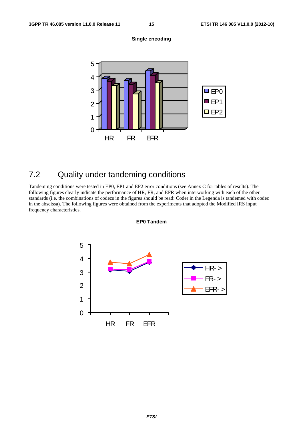



### 7.2 Quality under tandeming conditions

Tandeming conditions were tested in EP0, EP1 and EP2 error conditions (see Annex C for tables of results). The following figures clearly indicate the performance of HR, FR, and EFR when interworking with each of the other standards (i.e. the combinations of codecs in the figures should be read: Coder in the Legenda is tandemed with codec in the abscissa). The following figures were obtained from the experiments that adopted the Modified IRS input frequency characteristics.



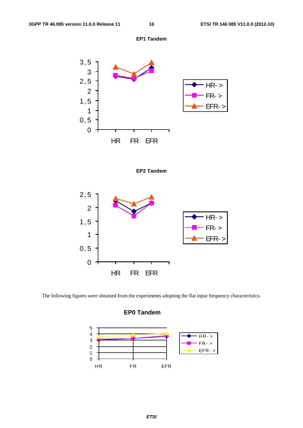







The following figures were obtained from the experiments adopting the flat input frequency characteristics.

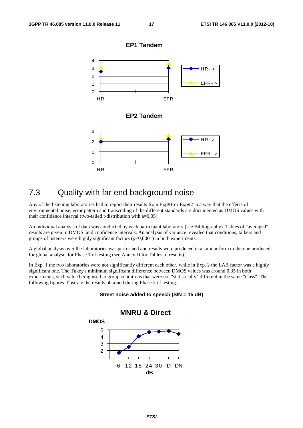

#### 7.3 Quality with far end background noise

Any of the listening laboratories had to report their results from Exp#1 or Exp#2 in a way that the effects of environmental noise, error pattern and transcoding of the different standards are documented as DMOS values with their confidence interval (two-tailed t-distribution with a=0,05).

An individual analysis of data was conducted by each participant laboratory (see Bibliography). Tables of "averaged" results are given in DMOS, and confidence intervals. An analysis of variance revealed that conditions, talkers and groups of listeners were highly significant factors  $(p<0,0001)$  in both experiments.

A global analysis over the laboratories was performed and results were produced in a similar form to the one produced for global analysis for Phase 1 of testing (see Annex D for Tables of results).

In Exp. 1 the two laboratories were not significantly different each other, while in Exp. 2 the LAB factor was a highly significant one. The Tukey's minimum significant difference between DMOS values was around 0,35 in both experiments, such value being used to group conditions that were not "statistically" different in the same "class". The following figures illustrate the results obtained during Phase 2 of testing.



#### **Street noise added to speech (S/N = 15 dB)**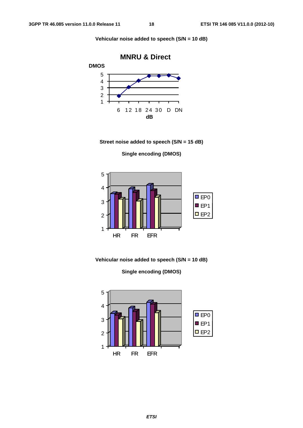**Vehicular noise added to speech (S/N = 10 dB)** 



**Street noise added to speech (S/N = 15 dB)** 

**Single encoding (DMOS)** 



**Vehicular noise added to speech (S/N = 10 dB)** 

**Single encoding (DMOS)** 

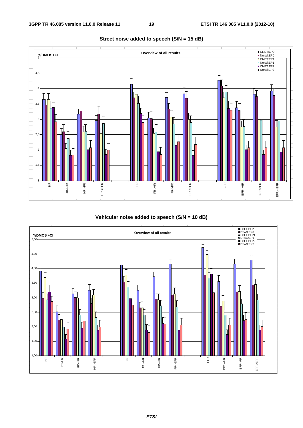

#### **Street noise added to speech (S/N = 15 dB)**

#### **Vehicular noise added to speech (S/N = 10 dB)**

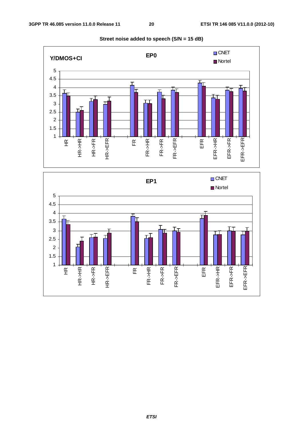

**Street noise added to speech (S/N = 15 dB)** 



*ETSI*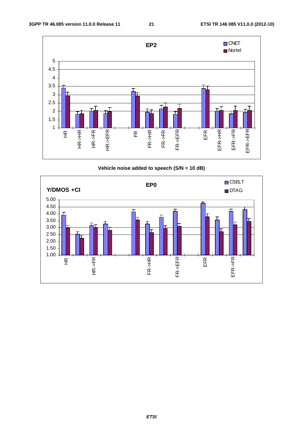

**Vehicle noise added to speech (S/N = 10 dB)** 

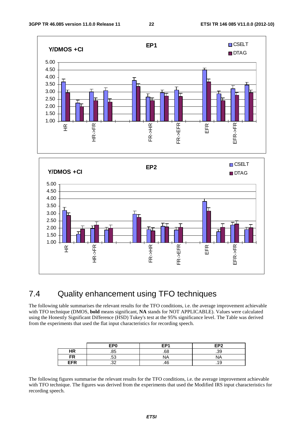



### 7.4 Quality enhancement using TFO techniques

The following table summarises the relevant results for the TFO conditions, i.e. the average improvement achievable with TFO technique (DMOS, **bold** means significant, **NA** stands for NOT APPLICABLE). Values were calculated using the Honestly Significant Difference (HSD) Tukey's test at the 95% significance level. The Table was derived from the experiments that used the flat input characteristics for recording speech.

|            | EP <sub>0</sub> | EP <sub>1</sub>                 | EP <sub>2</sub> |
|------------|-----------------|---------------------------------|-----------------|
| HR         | .85             | c٥                              | .39             |
| FR         | c.<br>.၁૩       | <b>NA</b>                       | NΑ              |
| <b>EFR</b> | າາ<br>ے .       | $\overline{\phantom{a}}$<br>.46 | . . 0           |

The following figures summarise the relevant results for the TFO conditions, i.e. the average improvement achievable with TFO technique. The figures was derived from the experiments that used the Modified IRS input characteristics for recording speech.

*ETSI*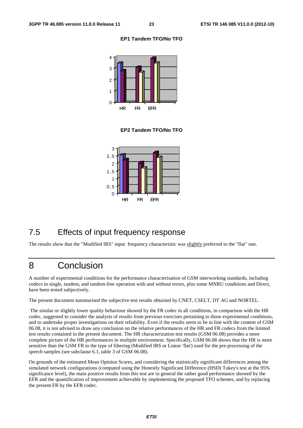#### **EP1 Tandem TFO/No TFO**



#### **EP2 Tandem TFO/No TFO**



### 7.5 Effects of input frequency response

The results show that the "Modified IRS" input frequency characteristic was slightly preferred to the "flat" one.

### 8 Conclusion

A number of experimental conditions for the performance characterisation of GSM interworking standards, including codecs in single, tandem, and tandem-free operation with and without errors, plus some MNRU conditions and Direct, have been tested subjectively.

The present document summarised the subjective test results obtained by CNET, CSELT, DT AG and NORTEL.

 The similar or slightly lower quality behaviour showed by the FR codec in all conditions, in comparison with the HR codec, suggested to consider the analysis of results from previous exercises pertaining to those experimental conditions, and to undertake proper investigations on their reliability. Even if the results seem to be in line with the content of GSM 06.08, it is not advised to draw any conclusion on the relative performances of the HR and FR codecs from the limited test results contained in the present document. The HR characterization test results (GSM 06.08) provides a more complete picture of the HR performances in multiple environment. Specifically, GSM 06.08 shows that the HR is more sensitive than the GSM FR to the type of filtering (Modified IRS or Linear 'flat') used for the pre-processing of the speech samples (see subclause 6.1, table 3 of GSM 06.08).

On grounds of the estimated Mean Opinion Scores, and considering the statistically significant differences among the simulated network configurations (computed using the Honestly Significant Difference (HSD) Tukey's test at the 95% significance level), the main positive results from this test are in general the rather good performance showed by the EFR and the quantification of improvement achievable by implementing the proposed TFO schemes, and by replacing the present FR by the EFR codec.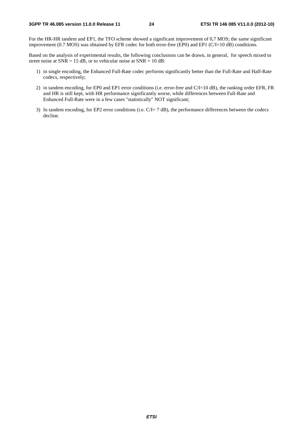For the HR-HR tandem and EP1, the TFO scheme showed a significant improvement of 0,7 MOS; the same significant improvement (0.7 MOS) was obtained by EFR codec for both error-free (EP0) and EP1 (C/I=10 dB) conditions.

Based on the analysis of experimental results, the following conclusions can be drawn, in general, for speech mixed to street noise at  $SNR = 15$  dB, or to vehicular noise at  $SNR = 10$  dB:

- 1) in single encoding, the Enhanced Full-Rate codec performs significantly better than the Full-Rate and Half-Rate codecs, respectively;
- 2) in tandem encoding, for EP0 and EP1 error conditions (i.e. error-free and C/I=10 dB), the ranking order EFR, FR and HR is still kept, with HR performance significantly worse, while differences between Full-Rate and Enhanced Full-Rate were in a few cases "statistically" NOT significant;
- 3) In tandem encoding, for EP2 error conditions (i.e.  $C/I = 7$  dB), the performance differences between the codecs decline.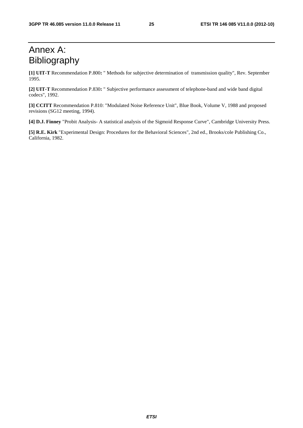### Annex A: Bibliography

**[1] UIT-T** Recommendation P.800**:** " Methods for subjective determination of transmission quality", Rev. September 1995.

**[2] UIT-T** Recommendation P.830**:** " Subjective performance assessment of telephone-band and wide band digital codecs", 1992.

**[3] CCITT** Recommendation P.810: "Modulated Noise Reference Unit", Blue Book, Volume V, 1988 and proposed revisions (SG12 meeting, 1994).

**[4] D.J. Finney** "Probit Analysis- A statistical analysis of the Sigmoid Response Curve", Cambridge University Press.

**[5] R.E. Kirk** "Experimental Design: Procedures for the Behavioral Sciences", 2nd ed., Brooks/cole Publishing Co., California, 1982.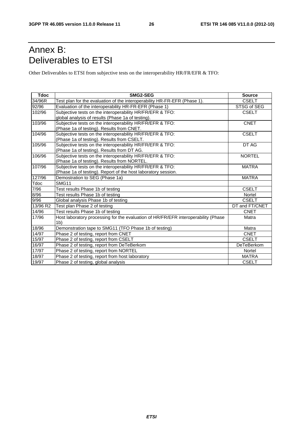### Annex B: Deliverables to ETSI

Other Deliverables to ETSI from subjective tests on the interoperability HR/FR/EFR & TFO:

| <b>Tdoc</b> | SMG2-SEG                                                                           | <b>Source</b>     |
|-------------|------------------------------------------------------------------------------------|-------------------|
| 34/96R      | Test plan for the evaluation of the interoperability HR-FR-EFR (Phase 1).          | <b>CSELT</b>      |
| 92/96       | Evaluation of the interoperability HR-FR-EFR (Phase 1)                             | STSG of SEG       |
| 102/96      | Subjective tests on the interoperability HR/FR/EFR & TFO:                          | <b>CSELT</b>      |
|             | global analysis of results (Phase 1a of testing).                                  |                   |
| 103/96      | Subjective tests on the interoperability HR/FR/EFR & TFO:                          | <b>CNET</b>       |
|             | (Phase 1a of testing). Results from CNET.                                          |                   |
| 104/96      | Subjective tests on the interoperability HR/FR/EFR & TFO:                          | <b>CSELT</b>      |
|             | (Phase 1a of testing). Results from CSELT.                                         |                   |
| 105/96      | Subjective tests on the interoperability HR/FR/EFR & TFO:                          | DT AG             |
|             | (Phase 1a of testing). Results from DT AG.                                         |                   |
| 106/96      | Subjective tests on the interoperability HR/FR/EFR & TFO:                          | <b>NORTEL</b>     |
|             | (Phase 1a of testing). Results from NORTEL.                                        |                   |
| 107/96      | Subjective tests on the interoperability HR/FR/EFR & TFO:                          | <b>MATRA</b>      |
|             | (Phase 1a of testing). Report of the host laboratory session.                      |                   |
| 127/96      | Demostration to SEG (Phase 1a)                                                     | <b>MATRA</b>      |
| Tdoc        | SMG11                                                                              |                   |
| 7/96        | Test results Phase 1b of testing                                                   | <b>CSELT</b>      |
| 8/96        | Test results Phase 1b of testing                                                   | Nortel            |
| 9/96        | Global analysis Phase 1b of testing                                                | <b>CSELT</b>      |
| 13/96 R2    | Test plan Phase 2 of testing                                                       | DT and FT/CNET    |
| 14/96       | Test results Phase 1b of testing                                                   | <b>CNET</b>       |
| 17/96       | Host laboratory processing for the evaluation of HR/FR/EFR interoperability (Phase | Matra             |
|             | 1 <sub>b</sub>                                                                     |                   |
| 18/96       | Demonstration tape to SMG11 (TFO Phase 1b of testing)                              | Matra             |
| 14/97       | Phase 2 of testing, report from CNET                                               | <b>CNET</b>       |
| 15/97       | Phase 2 of testing, report from CSELT                                              | <b>CSELT</b>      |
| 16/97       | Phase 2 of testing, report from DeTeBerkom                                         | <b>DeTeBerkom</b> |
| 17/97       | Phase 2 of testing, report from NORTEL                                             | Nortel            |
| 18/97       | Phase 2 of testing, report from host laboratory                                    | <b>MATRA</b>      |
| 19/97       | Phase 2 of testing, global analysis                                                | <b>CSELT</b>      |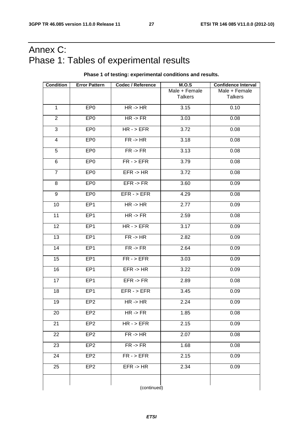### Annex C: Phase 1: Tables of experimental results

#### **Phase 1 of testing: experimental conditions and results.**

| <b>Condition</b> | <b>Error Pattern</b> | <b>Codec / Reference</b> | M.O.S          | <b>Confidence Interval</b> |
|------------------|----------------------|--------------------------|----------------|----------------------------|
|                  |                      |                          | Male + Female  | Male + Female              |
|                  |                      |                          | <b>Talkers</b> | <b>Talkers</b>             |
| $\mathbf{1}$     | EP <sub>0</sub>      | $HR - > HR$              | 3.15           | 0.10                       |
| 2                | EP <sub>0</sub>      | $HR \rightarrow FR$      | 3.03           | 0.08                       |
| $\sqrt{3}$       | EP <sub>0</sub>      | $HR - > EFR$             | 3.72           | 0.08                       |
| $\overline{4}$   | EP <sub>0</sub>      | FR < H R                 | 3.18           | 0.08                       |
| 5                | EP <sub>0</sub>      | $FR \rightarrow FR$      | 3.13           | 0.08                       |
| 6                | EP <sub>0</sub>      | $FR - > EFR$             | 3.79           | 0.08                       |
| $\overline{7}$   | EP <sub>0</sub>      | $EFR \rightarrow HR$     | 3.72           | 0.08                       |
| 8                | EP <sub>0</sub>      | $EFR \rightarrow FR$     | 3.60           | 0.09                       |
| 9                | EP <sub>0</sub>      | $EFR - > EFR$            | 4.29           | 0.08                       |
| 10               | EP <sub>1</sub>      | $HR \rightarrow HR$      | 2.77           | 0.09                       |
| 11               | EP <sub>1</sub>      | $HR \rightarrow FR$      | 2.59           | 0.08                       |
| 12               | EP <sub>1</sub>      | $HR - > EFR$             | 3.17           | 0.09                       |
| 13               | EP1                  | FR < H R                 | 2.82           | 0.09                       |
| 14               | EP <sub>1</sub>      | $FR \rightarrow FR$      | 2.64           | 0.09                       |
| 15               | EP <sub>1</sub>      | $FR - > EFR$             | 3.03           | 0.09                       |
| 16               | EP <sub>1</sub>      | $EFR \rightarrow HR$     | 3.22           | 0.09                       |
| 17               | EP <sub>1</sub>      | $EFR \rightarrow FR$     | 2.89           | 0.08                       |
| 18               | EP1                  | $EFR - > EFR$            | 3.45           | 0.09                       |
| 19               | EP <sub>2</sub>      | $HR - > HR$              | 2.24           | 0.09                       |
| 20               | EP <sub>2</sub>      | $HR \rightarrow FR$      | 1.85           | 0.08                       |
| 21               | EP <sub>2</sub>      | $HR - > EFR$             | 2.15           | 0.09                       |
| 22               | EP <sub>2</sub>      | FR < H R                 | 2.07           | 0.08                       |
| 23               | EP <sub>2</sub>      | $FR \rightarrow FR$      | 1.68           | 0.08                       |
| 24               | EP <sub>2</sub>      | $FR - > EFR$             | 2.15           | 0.09                       |
| 25               | EP <sub>2</sub>      | $EFR \rightarrow HR$     | 2.34           | 0.09                       |
|                  |                      |                          |                |                            |
|                  |                      | (continued)              |                |                            |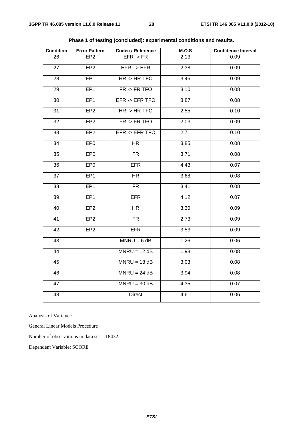| <b>Condition</b> | <b>Error Pattern</b> | <b>Codec / Reference</b> | M.O.S | <b>Confidence Interval</b> |
|------------------|----------------------|--------------------------|-------|----------------------------|
| 26               | EP <sub>2</sub>      | $EFR \rightarrow FR$     | 2.13  | 0.09                       |
| 27               | EP <sub>2</sub>      | $EFR - > EFR$            | 2.38  | 0.09                       |
| 28               | EP <sub>1</sub>      | $HR - > HR TFO$          | 3.46  | 0.09                       |
| 29               | EP <sub>1</sub>      | $FR \rightarrow FR$ TFO  | 3.10  | 0.08                       |
| 30               | EP <sub>1</sub>      | EFR -> EFR TFO           | 3.87  | 0.08                       |
| 31               | EP <sub>2</sub>      | $HR \rightarrow HR TFO$  | 2.55  | 0.10                       |
| 32               | EP <sub>2</sub>      | $FR \rightarrow FR$ TFO  | 2.03  | 0.09                       |
| 33               | EP <sub>2</sub>      | EFR -> EFR TFO           | 2.71  | 0.10                       |
| 34               | EP <sub>0</sub>      | <b>HR</b>                | 3.85  | 0.08                       |
| 35               | EP <sub>0</sub>      | <b>FR</b>                | 3.71  | 0.08                       |
| 36               | EP <sub>0</sub>      | <b>EFR</b>               | 4.43  | 0.07                       |
| 37               | EP <sub>1</sub>      | <b>HR</b>                | 3.68  | 0.08                       |
| 38               | EP <sub>1</sub>      | <b>FR</b>                | 3.41  | 0.08                       |
| 39               | EP <sub>1</sub>      | <b>EFR</b>               | 4.12  | 0.07                       |
| 40               | EP <sub>2</sub>      | <b>HR</b>                | 3.30  | 0.09                       |
| 41               | EP <sub>2</sub>      | <b>FR</b>                | 2.73  | 0.09                       |
| 42               | EP <sub>2</sub>      | <b>EFR</b>               | 3.53  | 0.09                       |
| 43               |                      | $MNRU = 6 dB$            | 1.26  | 0.06                       |
| 44               |                      | $MNRU = 12 dB$           | 1.93  | 0.08                       |
| 45               |                      | $MNRU = 18 dB$           | 3.03  | 0.08                       |
| 46               |                      | $MNRU = 24 dB$           | 3.94  | 0.08                       |
| 47               |                      | $MNRU = 30 dB$           | 4.35  | 0.07                       |
| 48               |                      | Direct                   | 4.61  | 0.06                       |

**Phase 1 of testing (concluded): experimental conditions and results.** 

Analysis of Variance

General Linear Models Procedure

Number of observations in data set = 18432

Dependent Variable: SCORE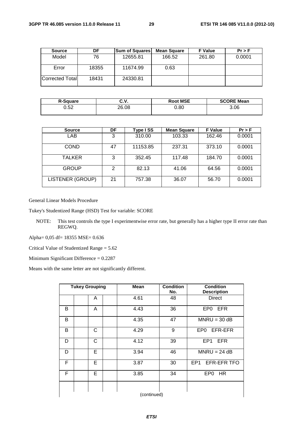| <b>Source</b>           | DF    | <b>Sum of Squares</b> | Mean Square | <b>F</b> Value | Pr > F |
|-------------------------|-------|-----------------------|-------------|----------------|--------|
| Model                   | 76    | 12655.81              | 166.52      | 261.80         | 0.0001 |
| Error                   | 18355 | 11674.99              | 0.63        |                |        |
| <b>Corrected Totall</b> | 18431 | 24330.81              |             |                |        |

| <b>R-Square</b> | ົ'<br>v.v. | <b>Root MSE</b> | <b>SCORE Mean</b> |
|-----------------|------------|-----------------|-------------------|
| 0.52            | 26.08      | 0.80            | 3.06              |

| <b>Source</b>           | DF | Type ISS | <b>Mean Square</b> | <b>F</b> Value | Pr > F |
|-------------------------|----|----------|--------------------|----------------|--------|
| LAB.                    | 3  | 310.00   | 103.33             | 162.46         | 0.0001 |
| <b>COND</b>             | 47 | 11153.85 | 237.31             | 373.10         | 0.0001 |
| <b>TALKER</b>           | 3  | 352.45   | 117.48             | 184.70         | 0.0001 |
| <b>GROUP</b>            | 2  | 82.13    | 41.06              | 64.56          | 0.0001 |
| <b>LISTENER (GROUP)</b> | 21 | 757.38   | 36.07              | 56.70          | 0.0001 |

General Linear Models Procedure

Tukey's Studentized Range (HSD) Test for variable: SCORE

NOTE: This test controls the type I experimentwise error rate, but generally has a higher type II error rate than REGWQ.

Alpha= 0,05 df= 18355 MSE= 0.636

Critical Value of Studentized Range = 5.62

Minimum Significant Difference = 0.2287

Means with the same letter are not significantly different.

| <b>Tukey Grouping</b> |  | <b>Mean</b>  | <b>Condition</b><br>No. | <b>Condition</b><br><b>Description</b> |    |                                |
|-----------------------|--|--------------|-------------------------|----------------------------------------|----|--------------------------------|
|                       |  | A            |                         | 4.61                                   | 48 | <b>Direct</b>                  |
| B                     |  | A            |                         | 4.43                                   | 36 | <b>EFR</b><br>EP0              |
| B                     |  |              |                         | 4.35                                   | 47 | $MNRU = 30 dB$                 |
| B                     |  | С            |                         | 4.29                                   | 9  | EPO EFR-EFR                    |
| D                     |  | $\mathsf{C}$ |                         | 4.12                                   | 39 | EP1<br><b>EFR</b>              |
| D                     |  | E            |                         | 3.94                                   | 46 | $MNRU = 24 dB$                 |
| F                     |  | Е            |                         | 3.87                                   | 30 | EFR-EFR TFO<br>EP <sub>1</sub> |
| F                     |  | E            |                         | 3.85                                   | 34 | EP <sub>0</sub><br>HR.         |
|                       |  |              |                         |                                        |    |                                |
|                       |  |              |                         | (continued)                            |    |                                |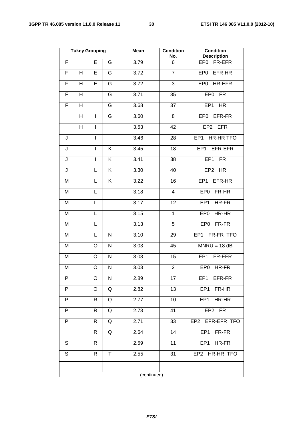|                |   | <b>Tukey Grouping</b>    |              | <b>Mean</b> | <b>Condition</b><br>No. | <b>Condition</b><br><b>Description</b> |
|----------------|---|--------------------------|--------------|-------------|-------------------------|----------------------------------------|
| $\mathsf F$    |   | E                        | G            | 3.79        | 6                       | EP0 FR-EFR                             |
| $\overline{F}$ | H | E                        | G            | 3.72        | $\overline{7}$          | EP0 EFR-HR                             |
| F              | Н | E                        | G            | 3.72        | 3                       | EP0 HR-EFR                             |
| F              | H |                          | G            | 3.71        | 35                      | EP0 FR                                 |
| F              | H |                          | G            | 3.68        | 37                      | EP1 HR                                 |
|                | H | $\mathsf{I}$             | G            | 3.60        | 8                       | EP0 EFR-FR                             |
|                | Н | $\overline{\phantom{a}}$ |              | 3.53        | 42                      | EP2 EFR                                |
| J              |   | $\overline{\phantom{a}}$ |              | 3.46        | 28                      | EP1 HR-HR TFO                          |
| J              |   | I                        | K            | 3.45        | 18                      | EP1 EFR-EFR                            |
| J              |   | I                        | Κ            | 3.41        | 38                      | EP1 FR                                 |
| J              |   | L                        | K            | 3.30        | 40                      | EP2 HR                                 |
| M              |   | L                        | K            | 3.22        | 16                      | EP1 EFR-HR                             |
| M              |   | Г                        |              | 3.18        | $\overline{\mathbf{4}}$ | EP0 FR-HR                              |
| M              |   | L                        |              | 3.17        | 12                      | EP1 HR-FR                              |
| M              |   | L                        |              | 3.15        | $\mathbf{1}$            | HR-HR<br>EP <sub>0</sub>               |
| M              |   | L                        |              | 3.13        | 5                       | EP0 FR-FR                              |
| M              |   | L                        | N            | 3.10        | 29                      | EP1 FR-FR TFO                          |
| M              |   | O                        | $\mathsf{N}$ | 3.03        | 45                      | $MNRU = 18 dB$                         |
| M              |   | O                        | N            | 3.03        | 15                      | EP1 FR-EFR                             |
| M              |   | O                        | N            | 3.03        | $\overline{2}$          | EP0 HR-FR                              |
| P              |   | O                        | N            | 2.89        | 17                      | EP1<br>EFR-FR                          |
| P              |   | O                        | Q            | 2.82        | 13                      | EP <sub>1</sub><br>FR-HR               |
| P              |   | R                        | Q            | 2.77        | 10                      | EP <sub>1</sub><br>HR-HR               |
| P              |   | R                        | Q            | 2.73        | 41                      | EP2 FR                                 |
| P              |   | R                        | Q            | 2.71        | 33                      | EP2 EFR-EFR TFO                        |
|                |   | R                        | Q            | 2.64        | 14                      | EP <sub>1</sub><br>FR-FR               |
| S              |   | R                        |              | 2.59        | 11                      | EP <sub>1</sub><br>HR-FR               |
| $\mathsf S$    |   | R                        | T            | 2.55        | 31                      | EP2 HR-HR TFO                          |
|                |   |                          |              |             |                         |                                        |
|                |   |                          |              | (continued) |                         |                                        |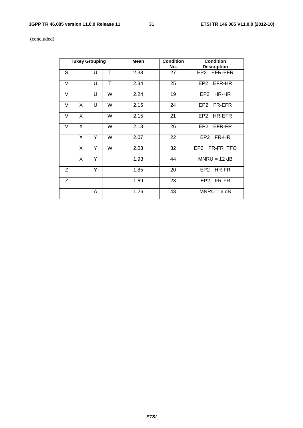#### **3GPP TR 46.085 version 11.0.0 Release 11 31 ETSI TR 146 085 V11.0.0 (2012-10)**

(concluded)

| <b>Tukey Grouping</b> |   |   |   | <b>Mean</b> | <b>Condition</b><br><b>Condition</b><br>No.<br><b>Description</b> |                |
|-----------------------|---|---|---|-------------|-------------------------------------------------------------------|----------------|
| S                     |   | U | Τ | 2.38        | 27                                                                | EP2 EFR-EFR    |
| V                     |   | U | T | 2.34        | 25                                                                | EP2 EFR-HR     |
| V                     |   | U | W | 2.24        | 19                                                                | EP2 HR-HR      |
| V                     | X | U | W | 2.15        | 24                                                                | EP2 FR-EFR     |
| V                     | X |   | W | 2.15        | 21                                                                | EP2 HR-EFR     |
| V                     | X |   | W | 2.13        | 26                                                                | EP2 EFR-FR     |
|                       | X | Y | W | 2.07        | 22                                                                | EP2 FR-HR      |
|                       | X | Y | W | 2.03        | 32                                                                | EP2 FR-FR TFO  |
|                       | X | Y |   | 1.93        | 44                                                                | $MNRU = 12 dB$ |
| Z                     |   | Y |   | 1.85        | 20                                                                | EP2 HR-FR      |
| Z                     |   |   |   | 1.69        | 23                                                                | EP2 FR-FR      |
|                       |   | A |   | 1.26        | 43                                                                | $MNRU = 6 dB$  |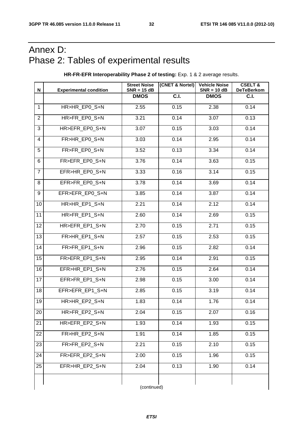### Annex D: Phase 2: Tables of experimental results

**HR-FR-EFR Interoperability Phase 2 of testing:** Exp. 1 & 2 average results.

| N               | <b>Experimental condition</b> | (CNET & Nortel)<br><b>Street Noise</b><br>$SNR = 15 dB$ |                   | <b>Vehicle Noise</b><br>$SNR = 10 dB$ | <b>CSELT&amp;</b><br><b>DeTeBerkom</b> |  |  |  |
|-----------------|-------------------------------|---------------------------------------------------------|-------------------|---------------------------------------|----------------------------------------|--|--|--|
|                 |                               | <b>DMOS</b>                                             | $\overline{C.1.}$ | <b>DMOS</b>                           | C.I.                                   |  |  |  |
| $\mathbf{1}$    | HR>HR_EP0_S+N                 | 2.55                                                    | 0.15              | 2.38                                  | 0.14                                   |  |  |  |
| $\overline{2}$  | HR>FR EP0 S+N                 | 3.21                                                    | 0.14              | 3.07                                  | 0.13                                   |  |  |  |
| 3               | HR>EFR_EP0_S+N                | 3.07                                                    | 0.15              | 3.03                                  | 0.14                                   |  |  |  |
| $\overline{4}$  | FR>HR EP0 S+N                 | 3.03                                                    | 0.14              | 2.95                                  | 0.14                                   |  |  |  |
| 5               | FR>FR EP0 S+N                 | 3.52                                                    | 0.13              | 3.34                                  | 0.14                                   |  |  |  |
| 6               | FR>EFR EP0 S+N                | 3.76                                                    | 0.14              | 3.63                                  | 0.15                                   |  |  |  |
| $\overline{7}$  | EFR>HR_EP0_S+N                | 3.33                                                    | 0.16              | 3.14                                  | 0.15                                   |  |  |  |
| 8               | EFR>FR_EP0_S+N                | 3.78                                                    | 0.14              | 3.69                                  | 0.14                                   |  |  |  |
| 9               | EFR>EFR EP0 S+N               | 3.85                                                    | 0.14              | 3.87                                  | 0.14                                   |  |  |  |
| 10              | HR>HR EP1 S+N                 | 2.21                                                    | 0.14              | 2.12                                  | 0.14                                   |  |  |  |
| 11              | HR>FR EP1 S+N                 | 2.60                                                    | 0.14              | 2.69                                  | 0.15                                   |  |  |  |
| 12              | HR>EFR EP1 S+N                | 2.70                                                    | 0.15              | 2.71                                  | 0.15                                   |  |  |  |
| 13              | FR>HR EP1 S+N                 | 2.57                                                    | 0.15              | 2.53                                  | 0.15                                   |  |  |  |
| 14              | FR>FR_EP1_S+N                 | 2.96                                                    | 0.15              | 2.82                                  | 0.14                                   |  |  |  |
| $\overline{15}$ | FR>EFR_EP1_S+N                | 2.95                                                    | 0.14              | 2.91                                  | 0.15                                   |  |  |  |
| 16              | EFR>HR_EP1_S+N                | 2.76                                                    | 0.15              | 2.64                                  | 0.14                                   |  |  |  |
| 17              | EFR>FR_EP1_S+N                | 2.98                                                    | 0.15              | 3.00                                  | 0.14                                   |  |  |  |
| 18              | EFR>EFR EP1 S+N               | 2.85                                                    | 0.15              | 3.19                                  | 0.14                                   |  |  |  |
| 19              | HR>HR_EP2_S+N                 | 1.83                                                    | 0.14              | 1.76                                  | 0.14                                   |  |  |  |
| 20              | HR>FR_EP2_S+N                 | 2.04                                                    | 0.15              | 2.07                                  | 0.16                                   |  |  |  |
| $\overline{21}$ | HR>EFR_EP2_S+N                | 1.93                                                    | 0.14              | 1.93                                  | 0.15                                   |  |  |  |
| 22              | FR>HR EP2 S+N                 | 1.91                                                    | 0.14              | 1.85                                  | 0.15                                   |  |  |  |
| 23              | FR>FR_EP2_S+N                 | 2.21                                                    | 0.15              | 2.10                                  | 0.15                                   |  |  |  |
| 24              | FR>EFR EP2 S+N                | 2.00                                                    | 0.15              | 1.96                                  | 0.15                                   |  |  |  |
| 25              | EFR>HR_EP2_S+N                | 2.04                                                    | 0.13              | 1.90                                  | 0.14                                   |  |  |  |
|                 | (continued)                   |                                                         |                   |                                       |                                        |  |  |  |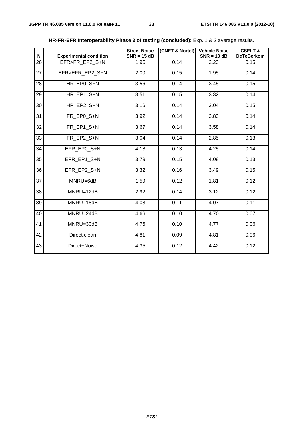| $\boldsymbol{\mathsf{N}}$ | <b>Experimental condition</b> | <b>Street Noise</b><br>$SNR = 15 dB$ | (CNET & Nortel) | <b>Vehicle Noise</b><br>$SNR = 10 dB$ | <b>CSELT &amp;</b><br><b>DeTeBerkom</b> |  |
|---------------------------|-------------------------------|--------------------------------------|-----------------|---------------------------------------|-----------------------------------------|--|
| 26                        | EFR>FR EP2 S+N                | 1.96                                 | 0.14            | 2.23                                  | 0.15                                    |  |
| 27                        | EFR>EFR EP2 S+N               | 2.00                                 | 0.15            | 1.95                                  | 0.14                                    |  |
| 28                        | HR EP0 S+N                    | 3.56                                 | 0.14            | 3.45                                  | 0.15                                    |  |
| 29                        | HR EP1 S+N                    | 3.51                                 | 0.15            | 3.32                                  | 0.14                                    |  |
| 30                        | HR EP2 S+N                    | 3.16                                 | 0.14            | 3.04                                  | 0.15                                    |  |
| 31                        | FR EP0 S+N                    | 3.92                                 | 0.14            | 3.83                                  | 0.14                                    |  |
| 32                        | FR EP1 S+N                    | 3.67                                 | 0.14            | 3.58                                  | 0.14                                    |  |
| 33                        | FR EP2 S+N                    | 3.04                                 | 0.14            | 2.85                                  | 0.13                                    |  |
| 34                        | EFR EP0 S+N                   | 4.18                                 | 0.13            | 4.25                                  | 0.14                                    |  |
| 35                        | EFR EP1 S+N                   | 3.79                                 | 0.15            | 4.08                                  | 0.13                                    |  |
| $\overline{36}$           | EFR EP2 S+N                   | 3.32                                 | 0.16            | 3.49                                  | 0.15                                    |  |
| $\overline{37}$           | MNRU=6dB                      | 1.59                                 | 0.12            | 1.81                                  | 0.12                                    |  |
| 38                        | MNRU=12dB                     | 2.92                                 | 0.14            | 3.12                                  | 0.12                                    |  |
| 39                        | MNRU=18dB                     | 4.08                                 | 0.11            | 4.07                                  | 0.11                                    |  |
| 40                        | MNRU=24dB                     | 4.66                                 | 0.10            | 4.70                                  | 0.07                                    |  |
| 41                        | MNRU=30dB                     | 4.76                                 | 0.10            | 4.77                                  | 0.06                                    |  |
| 42                        | Direct, clean                 | 4.81                                 | 0.09            | 4.81                                  | 0.06                                    |  |
| 43                        | Direct+Noise                  | 4.35                                 | 0.12            | 4.42                                  | 0.12                                    |  |

#### **HR-FR-EFR Interoperability Phase 2 of testing (concluded):** Exp. 1 & 2 average results.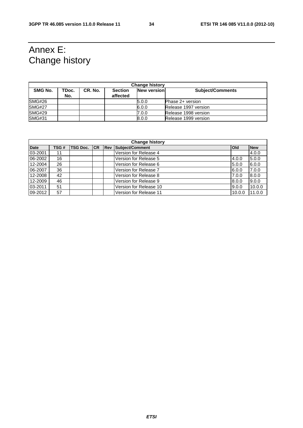### Annex E: Change history

| <b>Change history</b> |              |         |                            |                    |                         |  |
|-----------------------|--------------|---------|----------------------------|--------------------|-------------------------|--|
| SMG No.               | TDoc.<br>No. | CR. No. | <b>Section</b><br>affected | <b>New version</b> | <b>Subject/Comments</b> |  |
| SMG#26                |              |         |                            | 5.0.0              | Phase 2+ version        |  |
| <b>SMG#27</b>         |              |         |                            | 6.0.0              | Release 1997 version    |  |
| <b>SMG#29</b>         |              |         |                            | 7.0.0              | Release 1998 version    |  |
| <b>SMG#31</b>         |              |         |                            | 8.0.0              | Release 1999 version    |  |

| <b>Change history</b> |      |                     |  |                         |                        |            |            |
|-----------------------|------|---------------------|--|-------------------------|------------------------|------------|------------|
| <b>Date</b>           | TSG# | <b>TSG Doc.</b> ICR |  | $\overline{\text{Rev}}$ | Subject/Comment        | <b>Old</b> | <b>New</b> |
| 03-2001               | 11   |                     |  |                         | Version for Release 4  |            | 4.0.0      |
| 06-2002               | 16   |                     |  |                         | Version for Release 5  | 4.0.0      | 5.0.0      |
| 12-2004               | 26   |                     |  |                         | Version for Release 6  | 5.0.0      | 6.0.0      |
| 06-2007               | 36   |                     |  |                         | Version for Release 7  | 6.0.0      | 7.0.0      |
| 12-2008               | 42   |                     |  |                         | Version for Release 8  | 7.0.0      | 8.0.0      |
| 12-2009               | 46   |                     |  |                         | Version for Release 9  | 8.0.0      | 9.0.0      |
| 03-2011               | 51   |                     |  |                         | Version for Release 10 | 9.0.0      | 10.0.0     |
| 09-2012               | 57   |                     |  |                         | Version for Release 11 | 10.0.0     | 11.0.0     |